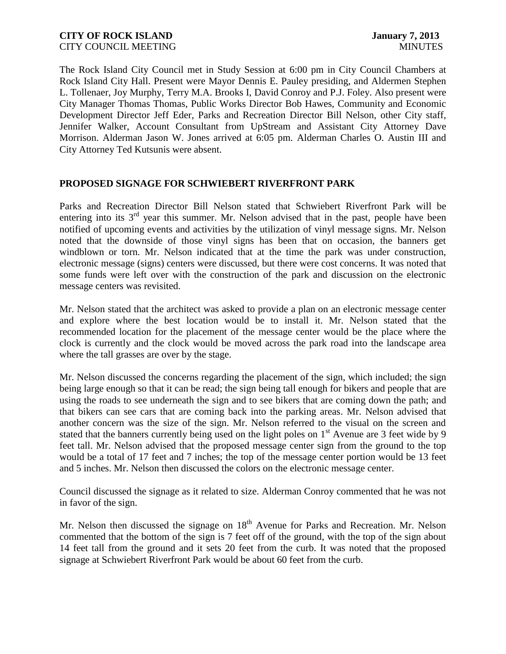The Rock Island City Council met in Study Session at 6:00 pm in City Council Chambers at Rock Island City Hall. Present were Mayor Dennis E. Pauley presiding, and Aldermen Stephen L. Tollenaer, Joy Murphy, Terry M.A. Brooks I, David Conroy and P.J. Foley. Also present were City Manager Thomas Thomas, Public Works Director Bob Hawes, Community and Economic Development Director Jeff Eder, Parks and Recreation Director Bill Nelson, other City staff, Jennifer Walker, Account Consultant from UpStream and Assistant City Attorney Dave Morrison. Alderman Jason W. Jones arrived at 6:05 pm. Alderman Charles O. Austin III and City Attorney Ted Kutsunis were absent.

# **PROPOSED SIGNAGE FOR SCHWIEBERT RIVERFRONT PARK**

Parks and Recreation Director Bill Nelson stated that Schwiebert Riverfront Park will be entering into its  $3<sup>rd</sup>$  year this summer. Mr. Nelson advised that in the past, people have been notified of upcoming events and activities by the utilization of vinyl message signs. Mr. Nelson noted that the downside of those vinyl signs has been that on occasion, the banners get windblown or torn. Mr. Nelson indicated that at the time the park was under construction, electronic message (signs) centers were discussed, but there were cost concerns. It was noted that some funds were left over with the construction of the park and discussion on the electronic message centers was revisited.

Mr. Nelson stated that the architect was asked to provide a plan on an electronic message center and explore where the best location would be to install it. Mr. Nelson stated that the recommended location for the placement of the message center would be the place where the clock is currently and the clock would be moved across the park road into the landscape area where the tall grasses are over by the stage.

Mr. Nelson discussed the concerns regarding the placement of the sign, which included; the sign being large enough so that it can be read; the sign being tall enough for bikers and people that are using the roads to see underneath the sign and to see bikers that are coming down the path; and that bikers can see cars that are coming back into the parking areas. Mr. Nelson advised that another concern was the size of the sign. Mr. Nelson referred to the visual on the screen and stated that the banners currently being used on the light poles on  $1<sup>st</sup>$  Avenue are 3 feet wide by 9 feet tall. Mr. Nelson advised that the proposed message center sign from the ground to the top would be a total of 17 feet and 7 inches; the top of the message center portion would be 13 feet and 5 inches. Mr. Nelson then discussed the colors on the electronic message center.

Council discussed the signage as it related to size. Alderman Conroy commented that he was not in favor of the sign.

Mr. Nelson then discussed the signage on 18<sup>th</sup> Avenue for Parks and Recreation. Mr. Nelson commented that the bottom of the sign is 7 feet off of the ground, with the top of the sign about 14 feet tall from the ground and it sets 20 feet from the curb. It was noted that the proposed signage at Schwiebert Riverfront Park would be about 60 feet from the curb.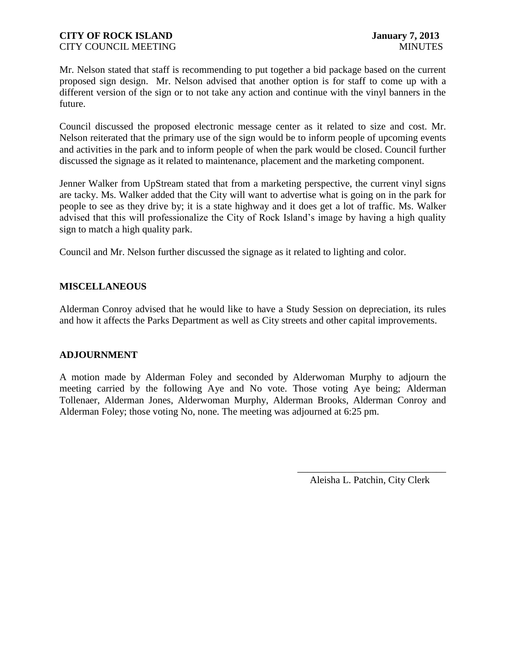Mr. Nelson stated that staff is recommending to put together a bid package based on the current proposed sign design. Mr. Nelson advised that another option is for staff to come up with a different version of the sign or to not take any action and continue with the vinyl banners in the future.

Council discussed the proposed electronic message center as it related to size and cost. Mr. Nelson reiterated that the primary use of the sign would be to inform people of upcoming events and activities in the park and to inform people of when the park would be closed. Council further discussed the signage as it related to maintenance, placement and the marketing component.

Jenner Walker from UpStream stated that from a marketing perspective, the current vinyl signs are tacky. Ms. Walker added that the City will want to advertise what is going on in the park for people to see as they drive by; it is a state highway and it does get a lot of traffic. Ms. Walker advised that this will professionalize the City of Rock Island's image by having a high quality sign to match a high quality park.

Council and Mr. Nelson further discussed the signage as it related to lighting and color.

# **MISCELLANEOUS**

Alderman Conroy advised that he would like to have a Study Session on depreciation, its rules and how it affects the Parks Department as well as City streets and other capital improvements.

### **ADJOURNMENT**

A motion made by Alderman Foley and seconded by Alderwoman Murphy to adjourn the meeting carried by the following Aye and No vote. Those voting Aye being; Alderman Tollenaer, Alderman Jones, Alderwoman Murphy, Alderman Brooks, Alderman Conroy and Alderman Foley; those voting No, none. The meeting was adjourned at 6:25 pm.

> \_\_\_\_\_\_\_\_\_\_\_\_\_\_\_\_\_\_\_\_\_\_\_\_\_\_\_\_\_\_ Aleisha L. Patchin, City Clerk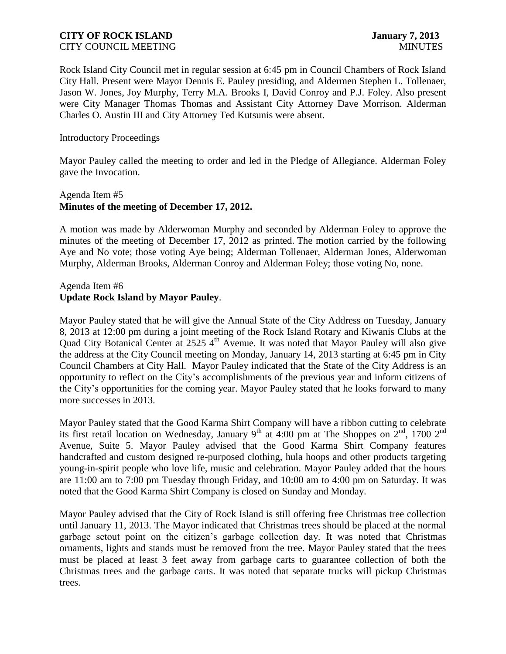Rock Island City Council met in regular session at 6:45 pm in Council Chambers of Rock Island City Hall. Present were Mayor Dennis E. Pauley presiding, and Aldermen Stephen L. Tollenaer, Jason W. Jones, Joy Murphy, Terry M.A. Brooks I, David Conroy and P.J. Foley. Also present were City Manager Thomas Thomas and Assistant City Attorney Dave Morrison. Alderman Charles O. Austin III and City Attorney Ted Kutsunis were absent.

### Introductory Proceedings

Mayor Pauley called the meeting to order and led in the Pledge of Allegiance. Alderman Foley gave the Invocation.

# Agenda Item #5 **Minutes of the meeting of December 17, 2012.**

A motion was made by Alderwoman Murphy and seconded by Alderman Foley to approve the minutes of the meeting of December 17, 2012 as printed. The motion carried by the following Aye and No vote; those voting Aye being; Alderman Tollenaer, Alderman Jones, Alderwoman Murphy, Alderman Brooks, Alderman Conroy and Alderman Foley; those voting No, none.

# Agenda Item #6 **Update Rock Island by Mayor Pauley**.

Mayor Pauley stated that he will give the Annual State of the City Address on Tuesday, January 8, 2013 at 12:00 pm during a joint meeting of the Rock Island Rotary and Kiwanis Clubs at the Quad City Botanical Center at 2525  $4<sup>th</sup>$  Avenue. It was noted that Mayor Pauley will also give the address at the City Council meeting on Monday, January 14, 2013 starting at 6:45 pm in City Council Chambers at City Hall. Mayor Pauley indicated that the State of the City Address is an opportunity to reflect on the City's accomplishments of the previous year and inform citizens of the City's opportunities for the coming year. Mayor Pauley stated that he looks forward to many more successes in 2013.

Mayor Pauley stated that the Good Karma Shirt Company will have a ribbon cutting to celebrate its first retail location on Wednesday, January 9<sup>th</sup> at 4:00 pm at The Shoppes on  $2^{nd}$ , 1700  $2^{nd}$ Avenue, Suite 5. Mayor Pauley advised that the Good Karma Shirt Company features handcrafted and custom designed re-purposed clothing, hula hoops and other products targeting young-in-spirit people who love life, music and celebration. Mayor Pauley added that the hours are 11:00 am to 7:00 pm Tuesday through Friday, and 10:00 am to 4:00 pm on Saturday. It was noted that the Good Karma Shirt Company is closed on Sunday and Monday.

Mayor Pauley advised that the City of Rock Island is still offering free Christmas tree collection until January 11, 2013. The Mayor indicated that Christmas trees should be placed at the normal garbage setout point on the citizen's garbage collection day. It was noted that Christmas ornaments, lights and stands must be removed from the tree. Mayor Pauley stated that the trees must be placed at least 3 feet away from garbage carts to guarantee collection of both the Christmas trees and the garbage carts. It was noted that separate trucks will pickup Christmas trees.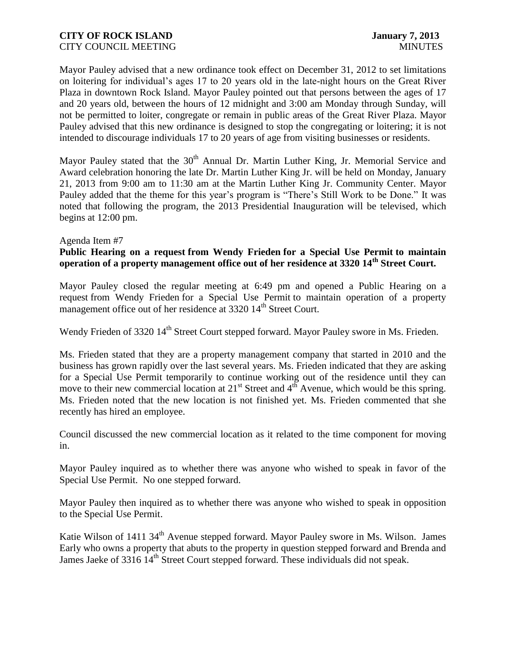Mayor Pauley advised that a new ordinance took effect on December 31, 2012 to set limitations on loitering for individual's ages 17 to 20 years old in the late-night hours on the Great River Plaza in downtown Rock Island. Mayor Pauley pointed out that persons between the ages of 17 and 20 years old, between the hours of 12 midnight and 3:00 am Monday through Sunday, will not be permitted to loiter, congregate or remain in public areas of the Great River Plaza. Mayor Pauley advised that this new ordinance is designed to stop the congregating or loitering; it is not intended to discourage individuals 17 to 20 years of age from visiting businesses or residents.

Mayor Pauley stated that the 30<sup>th</sup> Annual Dr. Martin Luther King, Jr. Memorial Service and Award celebration honoring the late Dr. Martin Luther King Jr. will be held on Monday, January 21, 2013 from 9:00 am to 11:30 am at the Martin Luther King Jr. Community Center. Mayor Pauley added that the theme for this year's program is "There's Still Work to be Done." It was noted that following the program, the 2013 Presidential Inauguration will be televised, which begins at 12:00 pm.

### Agenda Item #7

# **Public Hearing on a request from Wendy Frieden for a Special Use Permit to maintain operation of a property management office out of her residence at 3320 14th Street Court.**

Mayor Pauley closed the regular meeting at 6:49 pm and opened a Public Hearing on a request from Wendy Frieden for a Special Use Permit to maintain operation of a property management office out of her residence at 3320 14<sup>th</sup> Street Court.

Wendy Frieden of 3320 14<sup>th</sup> Street Court stepped forward. Mayor Pauley swore in Ms. Frieden.

Ms. Frieden stated that they are a property management company that started in 2010 and the business has grown rapidly over the last several years. Ms. Frieden indicated that they are asking for a Special Use Permit temporarily to continue working out of the residence until they can move to their new commercial location at  $21<sup>st</sup>$  Street and  $4<sup>th</sup>$  Avenue, which would be this spring. Ms. Frieden noted that the new location is not finished yet. Ms. Frieden commented that she recently has hired an employee.

Council discussed the new commercial location as it related to the time component for moving in.

Mayor Pauley inquired as to whether there was anyone who wished to speak in favor of the Special Use Permit. No one stepped forward.

Mayor Pauley then inquired as to whether there was anyone who wished to speak in opposition to the Special Use Permit.

Katie Wilson of 1411 34<sup>th</sup> Avenue stepped forward. Mayor Pauley swore in Ms. Wilson. James Early who owns a property that abuts to the property in question stepped forward and Brenda and James Jaeke of 3316 14<sup>th</sup> Street Court stepped forward. These individuals did not speak.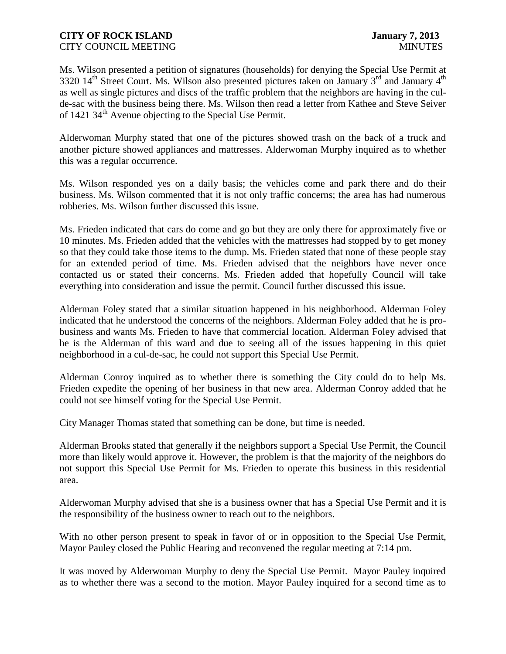Ms. Wilson presented a petition of signatures (households) for denying the Special Use Permit at 3320  $14<sup>th</sup>$  Street Court. Ms. Wilson also presented pictures taken on January 3<sup>rd</sup> and January  $4<sup>th</sup>$ as well as single pictures and discs of the traffic problem that the neighbors are having in the culde-sac with the business being there. Ms. Wilson then read a letter from Kathee and Steve Seiver of 1421 34th Avenue objecting to the Special Use Permit.

Alderwoman Murphy stated that one of the pictures showed trash on the back of a truck and another picture showed appliances and mattresses. Alderwoman Murphy inquired as to whether this was a regular occurrence.

Ms. Wilson responded yes on a daily basis; the vehicles come and park there and do their business. Ms. Wilson commented that it is not only traffic concerns; the area has had numerous robberies. Ms. Wilson further discussed this issue.

Ms. Frieden indicated that cars do come and go but they are only there for approximately five or 10 minutes. Ms. Frieden added that the vehicles with the mattresses had stopped by to get money so that they could take those items to the dump. Ms. Frieden stated that none of these people stay for an extended period of time. Ms. Frieden advised that the neighbors have never once contacted us or stated their concerns. Ms. Frieden added that hopefully Council will take everything into consideration and issue the permit. Council further discussed this issue.

Alderman Foley stated that a similar situation happened in his neighborhood. Alderman Foley indicated that he understood the concerns of the neighbors. Alderman Foley added that he is probusiness and wants Ms. Frieden to have that commercial location. Alderman Foley advised that he is the Alderman of this ward and due to seeing all of the issues happening in this quiet neighborhood in a cul-de-sac, he could not support this Special Use Permit.

Alderman Conroy inquired as to whether there is something the City could do to help Ms. Frieden expedite the opening of her business in that new area. Alderman Conroy added that he could not see himself voting for the Special Use Permit.

City Manager Thomas stated that something can be done, but time is needed.

Alderman Brooks stated that generally if the neighbors support a Special Use Permit, the Council more than likely would approve it. However, the problem is that the majority of the neighbors do not support this Special Use Permit for Ms. Frieden to operate this business in this residential area.

Alderwoman Murphy advised that she is a business owner that has a Special Use Permit and it is the responsibility of the business owner to reach out to the neighbors.

With no other person present to speak in favor of or in opposition to the Special Use Permit, Mayor Pauley closed the Public Hearing and reconvened the regular meeting at 7:14 pm.

It was moved by Alderwoman Murphy to deny the Special Use Permit. Mayor Pauley inquired as to whether there was a second to the motion. Mayor Pauley inquired for a second time as to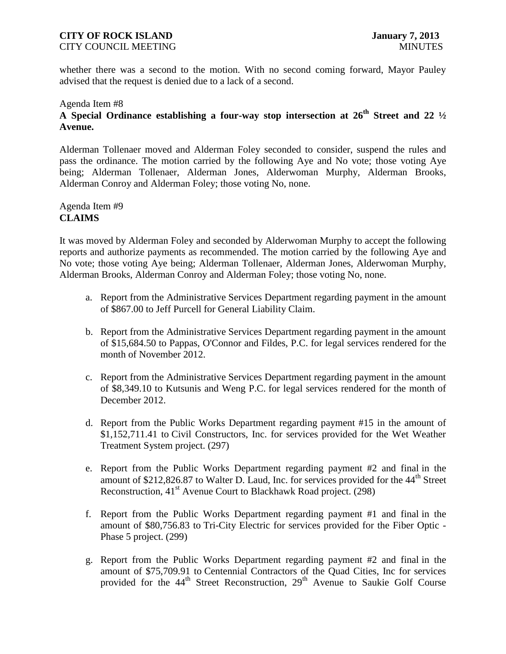# **CITY OF ROCK ISLAND January 7, 2013**

CITY COUNCIL MEETING MINUTES

whether there was a second to the motion. With no second coming forward, Mayor Pauley advised that the request is denied due to a lack of a second.

### Agenda Item #8

# **A Special Ordinance establishing a four-way stop intersection at 26th Street and 22 ½ Avenue.**

Alderman Tollenaer moved and Alderman Foley seconded to consider, suspend the rules and pass the ordinance. The motion carried by the following Aye and No vote; those voting Aye being; Alderman Tollenaer, Alderman Jones, Alderwoman Murphy, Alderman Brooks, Alderman Conroy and Alderman Foley; those voting No, none.

# Agenda Item #9 **CLAIMS**

It was moved by Alderman Foley and seconded by Alderwoman Murphy to accept the following reports and authorize payments as recommended. The motion carried by the following Aye and No vote; those voting Aye being; Alderman Tollenaer, Alderman Jones, Alderwoman Murphy, Alderman Brooks, Alderman Conroy and Alderman Foley; those voting No, none.

- a. Report from the Administrative Services Department regarding payment in the amount of \$867.00 to Jeff Purcell for General Liability Claim.
- b. Report from the Administrative Services Department regarding payment in the amount of \$15,684.50 to Pappas, O'Connor and Fildes, P.C. for legal services rendered for the month of November 2012.
- c. Report from the Administrative Services Department regarding payment in the amount of \$8,349.10 to Kutsunis and Weng P.C. for legal services rendered for the month of December 2012.
- d. Report from the Public Works Department regarding payment #15 in the amount of \$1,152,711.41 to Civil Constructors, Inc. for services provided for the Wet Weather Treatment System project. (297)
- e. Report from the Public Works Department regarding payment #2 and final in the amount of  $$212,826.87$  to Walter D. Laud, Inc. for services provided for the  $44<sup>th</sup>$  Street Reconstruction, 41<sup>st</sup> Avenue Court to Blackhawk Road project. (298)
- f. Report from the Public Works Department regarding payment #1 and final in the amount of \$80,756.83 to Tri-City Electric for services provided for the Fiber Optic - Phase 5 project. (299)
- g. Report from the Public Works Department regarding payment #2 and final in the amount of \$75,709.91 to Centennial Contractors of the Quad Cities, Inc for services provided for the 44<sup>th</sup> Street Reconstruction, 29<sup>th</sup> Avenue to Saukie Golf Course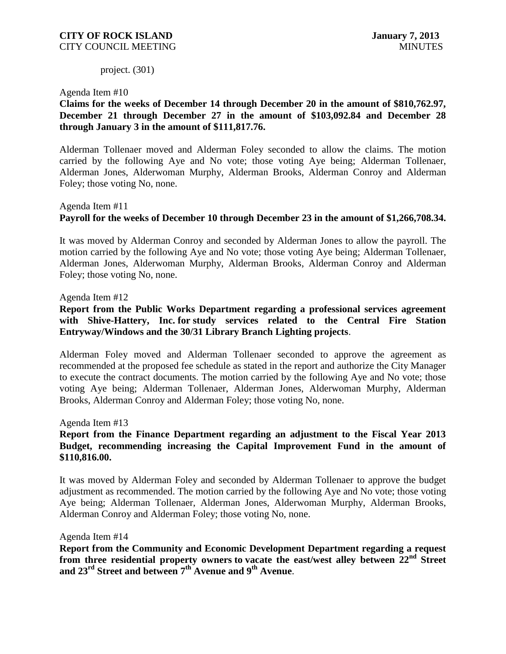project. (301)

Agenda Item #10

**Claims for the weeks of December 14 through December 20 in the amount of \$810,762.97, December 21 through December 27 in the amount of \$103,092.84 and December 28 through January 3 in the amount of \$111,817.76.** 

Alderman Tollenaer moved and Alderman Foley seconded to allow the claims. The motion carried by the following Aye and No vote; those voting Aye being; Alderman Tollenaer, Alderman Jones, Alderwoman Murphy, Alderman Brooks, Alderman Conroy and Alderman Foley; those voting No, none.

# Agenda Item #11 **Payroll for the weeks of December 10 through December 23 in the amount of \$1,266,708.34.**

It was moved by Alderman Conroy and seconded by Alderman Jones to allow the payroll. The motion carried by the following Aye and No vote; those voting Aye being; Alderman Tollenaer, Alderman Jones, Alderwoman Murphy, Alderman Brooks, Alderman Conroy and Alderman Foley; those voting No, none.

### Agenda Item #12

**Report from the Public Works Department regarding a professional services agreement with Shive-Hattery, Inc. for study services related to the Central Fire Station Entryway/Windows and the 30/31 Library Branch Lighting projects**.

Alderman Foley moved and Alderman Tollenaer seconded to approve the agreement as recommended at the proposed fee schedule as stated in the report and authorize the City Manager to execute the contract documents. The motion carried by the following Aye and No vote; those voting Aye being; Alderman Tollenaer, Alderman Jones, Alderwoman Murphy, Alderman Brooks, Alderman Conroy and Alderman Foley; those voting No, none.

Agenda Item #13

# **Report from the Finance Department regarding an adjustment to the Fiscal Year 2013 Budget, recommending increasing the Capital Improvement Fund in the amount of \$110,816.00.**

It was moved by Alderman Foley and seconded by Alderman Tollenaer to approve the budget adjustment as recommended. The motion carried by the following Aye and No vote; those voting Aye being; Alderman Tollenaer, Alderman Jones, Alderwoman Murphy, Alderman Brooks, Alderman Conroy and Alderman Foley; those voting No, none.

Agenda Item #14

**Report from the Community and Economic Development Department regarding a request from three residential property owners to vacate the east/west alley between 22nd Street and 23rd Street and between 7th Avenue and 9th Avenue**.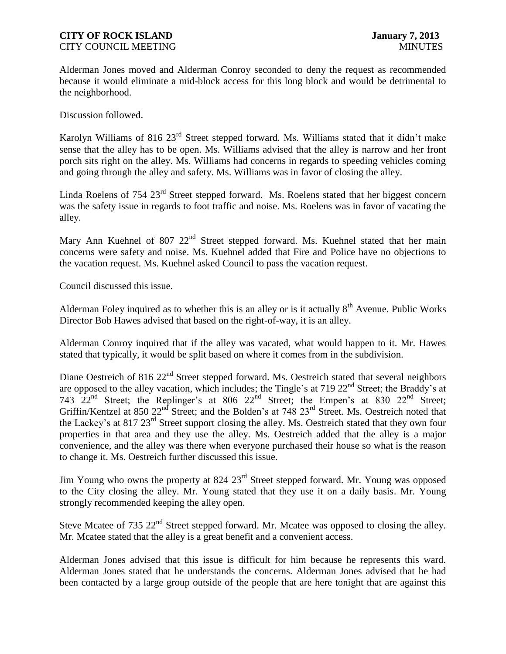### **CITY OF ROCK ISLAND January 7, 2013** CITY COUNCIL MEETING MINUTES

Alderman Jones moved and Alderman Conroy seconded to deny the request as recommended because it would eliminate a mid-block access for this long block and would be detrimental to the neighborhood.

Discussion followed.

Karolyn Williams of 816 23<sup>rd</sup> Street stepped forward. Ms. Williams stated that it didn't make sense that the alley has to be open. Ms. Williams advised that the alley is narrow and her front porch sits right on the alley. Ms. Williams had concerns in regards to speeding vehicles coming and going through the alley and safety. Ms. Williams was in favor of closing the alley.

Linda Roelens of  $754 \times 23^{rd}$  Street stepped forward. Ms. Roelens stated that her biggest concern was the safety issue in regards to foot traffic and noise. Ms. Roelens was in favor of vacating the alley.

Mary Ann Kuehnel of 807 22<sup>nd</sup> Street stepped forward. Ms. Kuehnel stated that her main concerns were safety and noise. Ms. Kuehnel added that Fire and Police have no objections to the vacation request. Ms. Kuehnel asked Council to pass the vacation request.

Council discussed this issue.

Alderman Foley inquired as to whether this is an alley or is it actually  $8<sup>th</sup>$  Avenue. Public Works Director Bob Hawes advised that based on the right-of-way, it is an alley.

Alderman Conroy inquired that if the alley was vacated, what would happen to it. Mr. Hawes stated that typically, it would be split based on where it comes from in the subdivision.

Diane Oestreich of 816 22<sup>nd</sup> Street stepped forward. Ms. Oestreich stated that several neighbors are opposed to the alley vacation, which includes; the Tingle's at 719 22<sup>nd</sup> Street; the Braddy's at 743 22nd Street; the Replinger's at 806 22nd Street; the Empen's at 830 22nd Street; Griffin/Kentzel at 850 22<sup>nd</sup> Street; and the Bolden's at 748 23<sup>rd</sup> Street. Ms. Oestreich noted that the Lackey's at 817 23<sup>rd</sup> Street support closing the alley. Ms. Oestreich stated that they own four properties in that area and they use the alley. Ms. Oestreich added that the alley is a major convenience, and the alley was there when everyone purchased their house so what is the reason to change it. Ms. Oestreich further discussed this issue.

Jim Young who owns the property at 824 23<sup>rd</sup> Street stepped forward. Mr. Young was opposed to the City closing the alley. Mr. Young stated that they use it on a daily basis. Mr. Young strongly recommended keeping the alley open.

Steve Mcatee of 735  $22<sup>nd</sup>$  Street stepped forward. Mr. Mcatee was opposed to closing the alley. Mr. Mcatee stated that the alley is a great benefit and a convenient access.

Alderman Jones advised that this issue is difficult for him because he represents this ward. Alderman Jones stated that he understands the concerns. Alderman Jones advised that he had been contacted by a large group outside of the people that are here tonight that are against this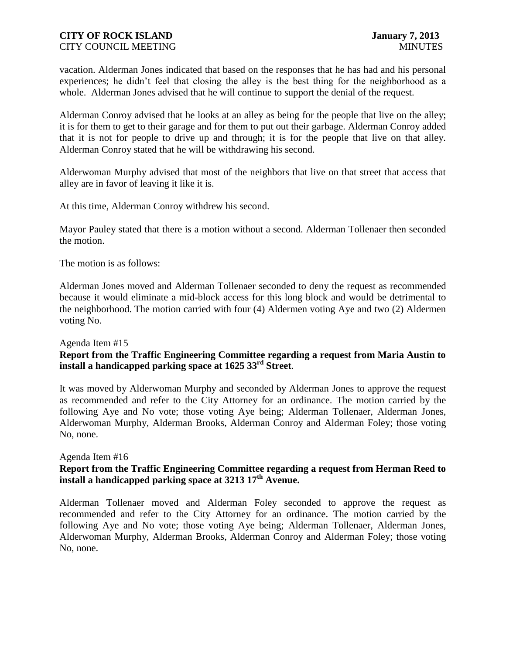### **CITY OF ROCK ISLAND January 7, 2013** CITY COUNCIL MEETING MINUTES

vacation. Alderman Jones indicated that based on the responses that he has had and his personal experiences; he didn't feel that closing the alley is the best thing for the neighborhood as a whole. Alderman Jones advised that he will continue to support the denial of the request.

Alderman Conroy advised that he looks at an alley as being for the people that live on the alley; it is for them to get to their garage and for them to put out their garbage. Alderman Conroy added that it is not for people to drive up and through; it is for the people that live on that alley. Alderman Conroy stated that he will be withdrawing his second.

Alderwoman Murphy advised that most of the neighbors that live on that street that access that alley are in favor of leaving it like it is.

At this time, Alderman Conroy withdrew his second.

Mayor Pauley stated that there is a motion without a second. Alderman Tollenaer then seconded the motion.

The motion is as follows:

Alderman Jones moved and Alderman Tollenaer seconded to deny the request as recommended because it would eliminate a mid-block access for this long block and would be detrimental to the neighborhood. The motion carried with four (4) Aldermen voting Aye and two (2) Aldermen voting No.

### Agenda Item #15

# **Report from the Traffic Engineering Committee regarding a request from Maria Austin to install a handicapped parking space at 1625 33rd Street**.

It was moved by Alderwoman Murphy and seconded by Alderman Jones to approve the request as recommended and refer to the City Attorney for an ordinance. The motion carried by the following Aye and No vote; those voting Aye being; Alderman Tollenaer, Alderman Jones, Alderwoman Murphy, Alderman Brooks, Alderman Conroy and Alderman Foley; those voting No, none.

### Agenda Item #16

# **Report from the Traffic Engineering Committee regarding a request from Herman Reed to install a handicapped parking space at 3213 17th Avenue.**

Alderman Tollenaer moved and Alderman Foley seconded to approve the request as recommended and refer to the City Attorney for an ordinance. The motion carried by the following Aye and No vote; those voting Aye being; Alderman Tollenaer, Alderman Jones, Alderwoman Murphy, Alderman Brooks, Alderman Conroy and Alderman Foley; those voting No, none.